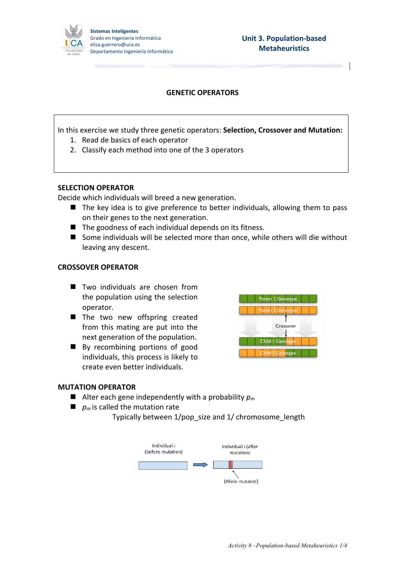

# **GENETIC OPERATORS**

In this exercise we study three genetic operators: Selection, Crossover and Mutation: 1. Read de basics of each operator

2. Classify each method into one of the 3 operators

#### **SELECTION OPERATOR**

Decide which individuals will breed a new generation.

- $\blacksquare$  The key idea is to give preference to better individuals, allowing them to pass on their genes to the next generation.
- $\blacksquare$  The goodness of each individual depends on its fitness.
- Some individuals will be selected more than once, while others will die without leaving any descent.

#### **CROSSOVER OPERATOR**

- $\blacksquare$  Two individuals are chosen from the population using the selection operator.
- $\blacksquare$  The two new offspring created from this mating are put into the next generation of the population.
- $\blacksquare$  By recombining portions of good individuals, this process is likely to create even better individuals.



#### **MUTATION OPERATOR**

- $\blacksquare$  Alter each gene independently with a probability  $p_m$
- $\blacksquare$  *p<sub>m</sub>* is called the mutation rate
	- Typically between 1/pop\_size and 1/ chromosome\_length

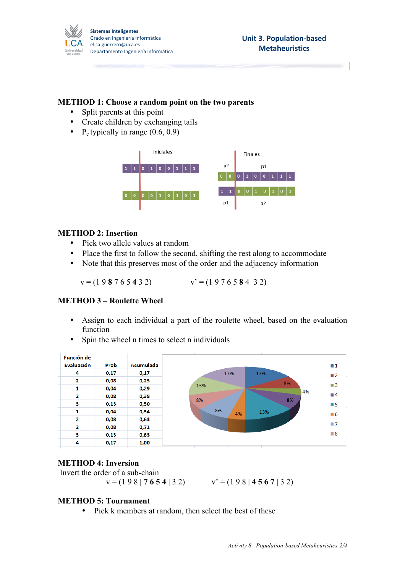

### **METHOD 1: Choose a random point on the two parents**

- Split parents at this point
- Create children by exchanging tails
- P<sub>c</sub> typically in range  $(0.6, 0.9)$



# **METHOD 2: Insertion**

- Pick two allele values at random
- Place the first to follow the second, shifting the rest along to accommodate
- Note that this preserves most of the order and the adjacency information

 $v = (1 9 8 7 6 5 4 3 2)$   $v' = (1 9 7 6 5 8 4 3 2)$ 

# **METHOD 3 – Roulette Wheel**

- Assign to each individual a part of the roulette wheel, based on the evaluation function
- Spin the wheel n times to select n individuals



# **METHOD 4: Inversion**

```
Invert the order of a sub-chain
```
 $v = (1 9 8 | 7 6 5 4 | 3 2)$   $v' = (1 9 8 | 4 5 6 7 | 3 2)$ 

# **METHOD 5: Tournament**

• Pick k members at random, then select the best of these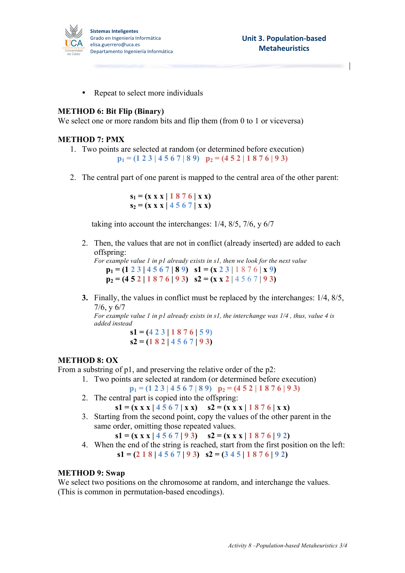

• Repeat to select more individuals

# **METHOD 6: Bit Flip (Binary)**

We select one or more random bits and flip them (from 0 to 1 or viceversa)

#### **METHOD 7: PMX**

- 1. Two points are selected at random (or determined before execution)  $p_1 = (1 2 3 | 4 5 6 7 | 8 9)$   $p_2 = (4 5 2 | 1 8 7 6 | 9 3)$
- 2. The central part of one parent is mapped to the central area of the other parent:

 $s_1 = (x \times x \mid 1 \cdot 8 \cdot 7 \cdot 6 \mid x \cdot x)$  $s_2 = (x \times x) 4 5 6 7 | x x)$ 

taking into account the interchanges: 1/4, 8/5, 7/6, y 6/7

2. Then, the values that are not in conflict (already inserted) are added to each offspring:

*For example value 1 in p1 already exists in s1, then we look for the next value*  **p**<sub>1</sub> = (1 2 3 | 4 5 6 7 | 8 9)  $s1 = (x 2 3 | 1 8 7 6 | x 9)$  $p_2 = (4\ 5\ 2\ 1\ 8\ 7\ 6\ 9\ 3)$   $s2 = (x\ x\ 2\ 4\ 5\ 6\ 7\ 9\ 3)$ 

**3.** Finally, the values in conflict must be replaced by the interchanges: 1/4, 8/5, 7/6, y 6/7

*For example value 1 in p1 already exists in s1, the interchange was 1/4 , thus, value 4 is added instead*

 $s1 = (423 \mid 1876 \mid 59)$ **s2 = (1 8 2 | 4 5 6 7 | 9 3)**

#### **METHOD 8: OX**

From a substring of p1, and preserving the relative order of the p2:

1. Two points are selected at random (or determined before execution)

 $p_1 = (1 2 3 | 4 5 6 7 | 8 9)$   $p_2 = (4 5 2 | 1 8 7 6 | 9 3)$ 

2. The central part is copied into the offspring:

 $s1 = (x x x | 4567 | x x)$   $s2 = (x x x | 1876 | x x)$ 

3. Starting from the second point, copy the values of the other parent in the same order, omitting those repeated values.

 $s1 = (x \times x) 4 5 6 7 9 3$   $s2 = (x \times x) 1 8 7 6 9 2$ 

4. When the end of the string is reached, start from the first position on the left:  $s1 = (2 1 8 | 4 5 6 7 | 9 3)$   $s2 = (3 4 5 | 1 8 7 6 | 9 2)$ 

#### **METHOD 9: Swap**

We select two positions on the chromosome at random, and interchange the values. (This is common in permutation-based encodings).